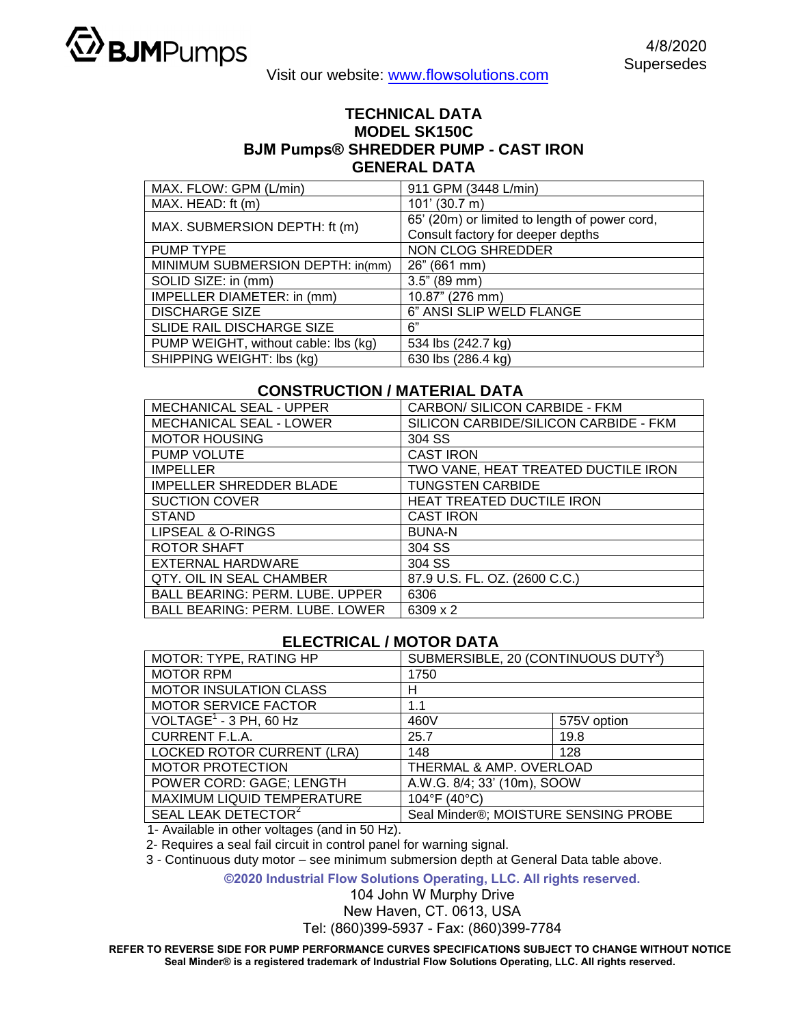

## **TECHNICAL DATA MODEL SK150C BJM Pumps® SHREDDER PUMP - CAST IRON GENERAL DATA**

| MAX. FLOW: GPM (L/min)               | 911 GPM (3448 L/min)                          |  |
|--------------------------------------|-----------------------------------------------|--|
| MAX. HEAD: ft (m)                    | $101'$ (30.7 m)                               |  |
| MAX. SUBMERSION DEPTH: ft (m)        | 65' (20m) or limited to length of power cord, |  |
|                                      | Consult factory for deeper depths             |  |
| PUMP TYPE                            | NON CLOG SHREDDER                             |  |
| MINIMUM SUBMERSION DEPTH: in(mm)     | 26" (661 mm)                                  |  |
| SOLID SIZE: in (mm)                  | 3.5" (89 mm)                                  |  |
| IMPELLER DIAMETER: in (mm)           | 10.87" (276 mm)                               |  |
| <b>DISCHARGE SIZE</b>                | 6" ANSI SLIP WELD FLANGE                      |  |
| SLIDE RAIL DISCHARGE SIZE            | 6"                                            |  |
| PUMP WEIGHT, without cable: lbs (kg) | 534 lbs (242.7 kg)                            |  |
| SHIPPING WEIGHT: lbs (kg)            | 630 lbs (286.4 kg)                            |  |

## **CONSTRUCTION / MATERIAL DATA**

| <b>MECHANICAL SEAL - UPPER</b>         | CARBON/ SILICON CARBIDE - FKM         |  |
|----------------------------------------|---------------------------------------|--|
| <b>MECHANICAL SEAL - LOWER</b>         | SILICON CARBIDE/SILICON CARBIDE - FKM |  |
| <b>MOTOR HOUSING</b>                   | 304 SS                                |  |
| <b>PUMP VOLUTE</b>                     | <b>CAST IRON</b>                      |  |
| <b>IMPELLER</b>                        | TWO VANE, HEAT TREATED DUCTILE IRON   |  |
| <b>IMPELLER SHREDDER BLADE</b>         | <b>TUNGSTEN CARBIDE</b>               |  |
| <b>SUCTION COVER</b>                   | <b>HEAT TREATED DUCTILE IRON</b>      |  |
| <b>STAND</b>                           | <b>CAST IRON</b>                      |  |
| LIPSEAL & O-RINGS                      | <b>BUNA-N</b>                         |  |
| ROTOR SHAFT                            | 304 SS                                |  |
| EXTERNAL HARDWARE                      | 304 SS                                |  |
| <b>QTY. OIL IN SEAL CHAMBER</b>        | 87.9 U.S. FL. OZ. (2600 C.C.)         |  |
| <b>BALL BEARING: PERM. LUBE. UPPER</b> | 6306                                  |  |
| <b>BALL BEARING: PERM. LUBE. LOWER</b> | 6309 x 2                              |  |

## **ELECTRICAL / MOTOR DATA**

| MOTOR: TYPE, RATING HP            | SUBMERSIBLE, 20 (CONTINUOUS DUTY <sup>3</sup> ) |             |  |
|-----------------------------------|-------------------------------------------------|-------------|--|
| <b>MOTOR RPM</b>                  | 1750                                            |             |  |
| <b>MOTOR INSULATION CLASS</b>     | н                                               |             |  |
| <b>MOTOR SERVICE FACTOR</b>       | 1.1                                             |             |  |
| VOLTAGE $1$ - 3 PH, 60 Hz         | 460V                                            | 575V option |  |
| <b>CURRENT F.L.A.</b>             | 25.7                                            | 19.8        |  |
| <b>LOCKED ROTOR CURRENT (LRA)</b> | 148                                             | 128         |  |
| <b>MOTOR PROTECTION</b>           | THERMAL & AMP. OVERLOAD                         |             |  |
| POWER CORD: GAGE; LENGTH          | A.W.G. 8/4; 33' (10m), SOOW                     |             |  |
| MAXIMUM LIQUID TEMPERATURE        | 104°F (40°C)                                    |             |  |
| SEAL LEAK DETECTOR <sup>2</sup>   | Seal Minder®; MOISTURE SENSING PROBE            |             |  |

1- Available in other voltages (and in 50 Hz).

2- Requires a seal fail circuit in control panel for warning signal.

3 - Continuous duty motor – see minimum submersion depth at General Data table above.

**©2020 Industrial Flow Solutions Operating, LLC. All rights reserved.**

104 John W Murphy Drive

New Haven, CT. 0613, USA

Tel: (860)399-5937 - Fax: (860)399-7784

**REFER TO REVERSE SIDE FOR PUMP PERFORMANCE CURVES SPECIFICATIONS SUBJECT TO CHANGE WITHOUT NOTICE Seal Minder® is a registered trademark of Industrial Flow Solutions Operating, LLC. All rights reserved.**